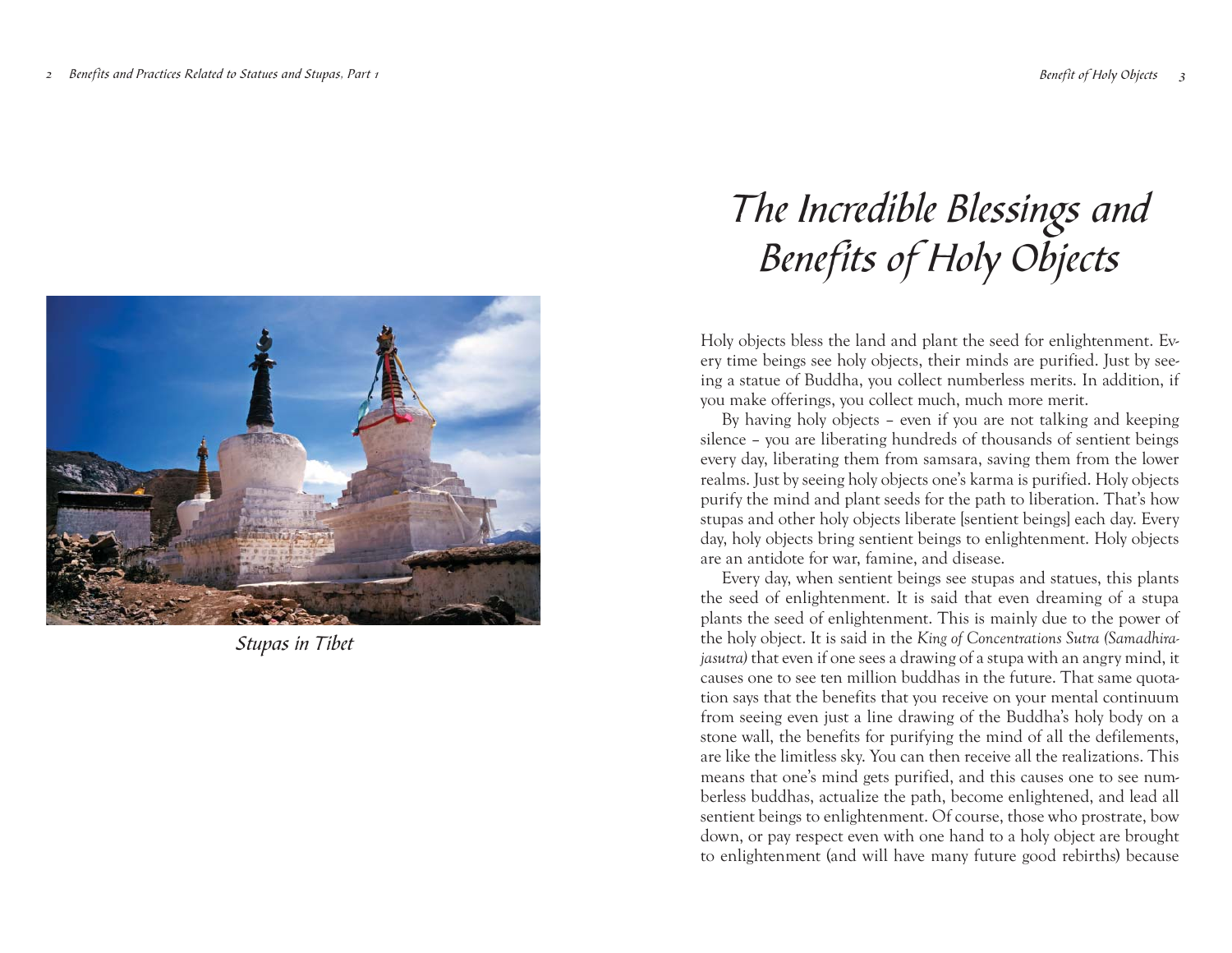

Stupas in Tibet

# The Incredible Blessings and Benefits of Holy Objects

Holy objects bless the land and plant the seed for enlightenment. Every time beings see holy objects, their minds are purified. Just by seeing a statue of Buddha, you collect numberless merits. In addition, if you make offerings, you collect much, much more merit.

By having holy objects – even if you are not talking and keeping silence – you are liberating hundreds of thousands of sentient beings every day, liberating them from samsara, saving them from the lower realms. Just by seeing holy objects one's karma is purified. Holy objects purify the mind and plant seeds for the path to liberation. That's how stupas and other holy objects liberate [sentient beings] each day. Every day, holy objects bring sentient beings to enlightenment. Holy objects are an antidote for war, famine, and disease.

Every day, when sentient beings see stupas and statues, this plants the seed of enlightenment. It is said that even dreaming of a stupa <sup>p</sup>lants the seed of enlightenment. This is mainly due to the power of the holy object. It is said in the *King of Concentrations Sutra (Samadhirajasutra)* that even if one sees a drawing of a stupa with an angry mind, it causes one to see ten million buddhas in the future. That same quotation says that the benefits that you receive on your mental continuum from seeing even just a line drawing of the Buddha's holy body on a stone wall, the benefits for purifying the mind of all the defilements, are like the limitless sky. You can then receive all the realizations. This means that one's mind gets purified, and this causes one to see numberless buddhas, actualize the path, become enlightened, and lead all sentient beings to enlightenment. Of course, those who prostrate, bow down, or pay respect even with one hand to a holy object are brought to enlightenment (and will have many future good rebirths) because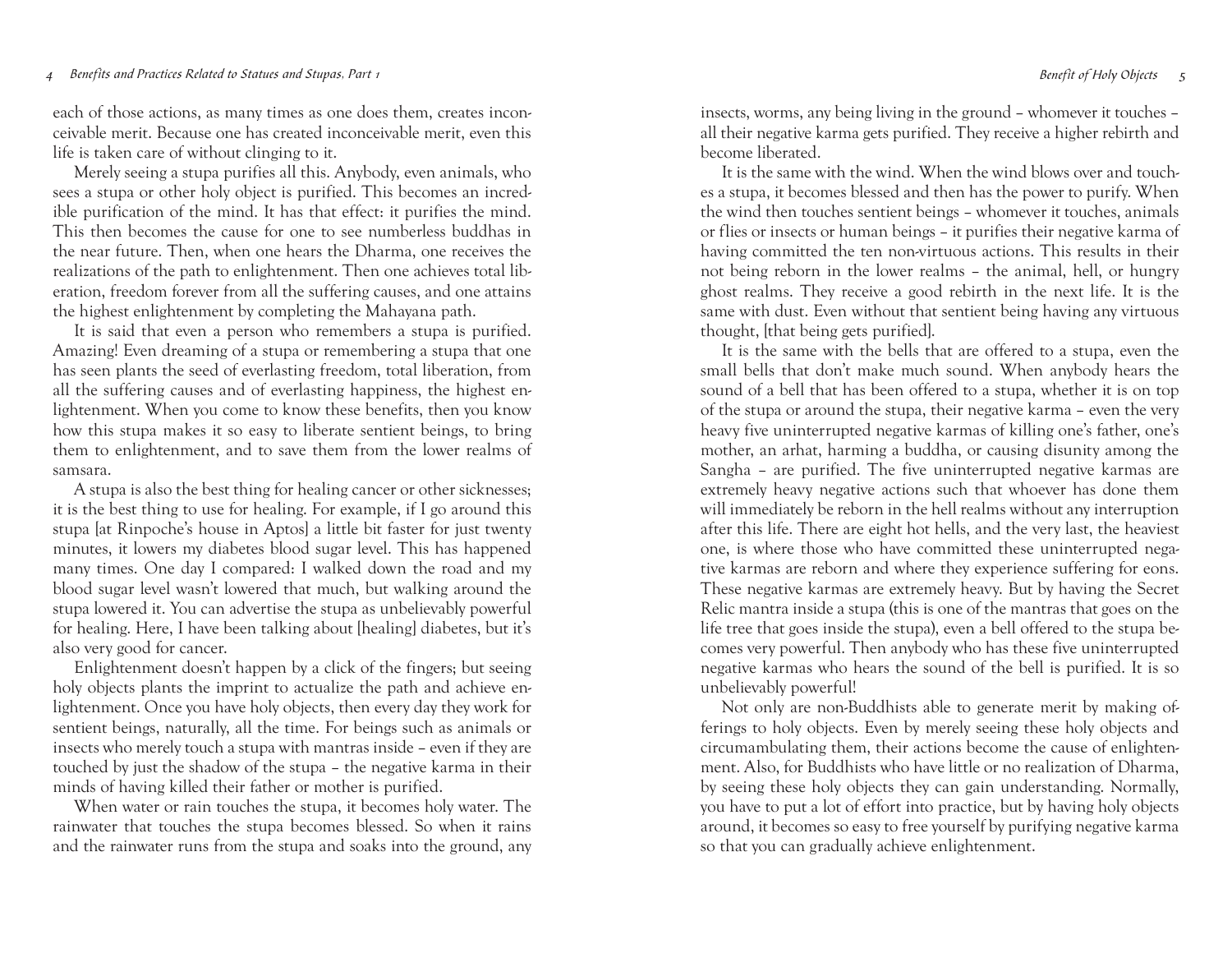### $Benefit$  of Holy Objects 5  $Benefit$  of Holy Objects 5

each of those actions, as many times as one does them, creates inconceivable merit. Because one has created inconceivable merit, even this life is taken care of without clinging to it.

Merely seeing a stupa purifies all this. Anybody, even animals, who sees a stupa or other holy object is purified. This becomes an incredible purification of the mind. It has that effect: it purifies the mind. This then becomes the cause for one to see numberless buddhas in the near future. Then, when one hears the Dharma, one receives the realizations of the path to enlightenment. Then one achieves total liberation, freedom forever from all the suffering causes, and one attains the highest enlightenment by completing the Mahayana path.

It is said that even a person who remembers a stupa is purified. Amazing! Even dreaming of a stupa or remembering a stupa that one has seen plants the seed of everlasting freedom, total liberation, from all the suffering causes and of everlasting happiness, the highest enlightenment. When you come to know these benefits, then you know how this stupa makes it so easy to liberate sentient beings, to bring them to enlightenment, and to save them from the lower realms of samsara.

A stupa is also the best thing for healing cancer or other sicknesses; it is the best thing to use for healing. For example, if I go around this stupa [at Rinpoche's house in Aptos] a little bit faster for just twenty minutes, it lowers my diabetes blood sugar level. This has happened many times. One day I compared: I walked down the road and my blood sugar level wasn't lowered that much, but walking around the stupa lowered it. You can advertise the stupa as unbelievably powerful for healing. Here, I have been talking about [healing] diabetes, but it's also very good for cancer.

Enlightenment doesn't happen by a click of the fingers; but seeing holy objects plants the imprint to actualize the path and achieve enlightenment. Once you have holy objects, then every day they work for sentient beings, naturally, all the time. For beings such as animals or insects who merely touch a stupa with mantras inside – even if they are touched by just the shadow of the stupa – the negative karma in their minds of having killed their father or mother is purified.

When water or rain touches the stupa, it becomes holy water. The rainwater that touches the stupa becomes blessed. So when it rains and the rainwater runs from the stupa and soaks into the ground, any

insects, worms, any being living in the ground – whomever it touches – all their negative karma gets purified. They receive a higher rebirth and become liberated.

It is the same with the wind. When the wind blows over and touches a stupa, it becomes blessed and then has the power to purify. When the wind then touches sentient beings – whomever it touches, animals or flies or insects or human beings – it purifies their negative karma of having committed the ten non-virtuous actions. This results in their not being reborn in the lower realms – the animal, hell, or hungry ghost realms. They receive a good rebirth in the next life. It is the same with dust. Even without that sentient being having any virtuous thought, [that being gets purified].

It is the same with the bells that are offered to a stupa, even the small bells that don't make much sound. When anybody hears the sound of a bell that has been offered to a stupa, whether it is on top of the stupa or around the stupa, their negative karma – even the very heavy five uninterrupted negative karmas of killing one's father, one's mother, an arhat, harming a buddha, or causing disunity among the Sangha – are purified. The five uninterrupted negative karmas are extremely heavy negative actions such that whoever has done them will immediately be reborn in the hell realms without any interruption after this life. There are eight hot hells, and the very last, the heaviest one, is where those who have committed these uninterrupted negative karmas are reborn and where they experience suffering for eons. These negative karmas are extremely heavy. But by having the Secret Relic mantra inside a stupa (this is one of the mantras that goes on the life tree that goes inside the stupa), even a bell offered to the stupa becomes very powerful. Then anybody who has these five uninterrupted negative karmas who hears the sound of the bell is purified. It is so unbelievably powerful!

Not only are non-Buddhists able to generate merit by making offerings to holy objects. Even by merely seeing these holy objects and circumambulating them, their actions become the cause of enlightenment. Also, for Buddhists who have little or no realization of Dharma, by seeing these holy objects they can gain understanding. Normally, you have to put a lot of effort into practice, but by having holy objects around, it becomes so easy to free yourself by purifying negative karma so that you can gradually achieve enlightenment.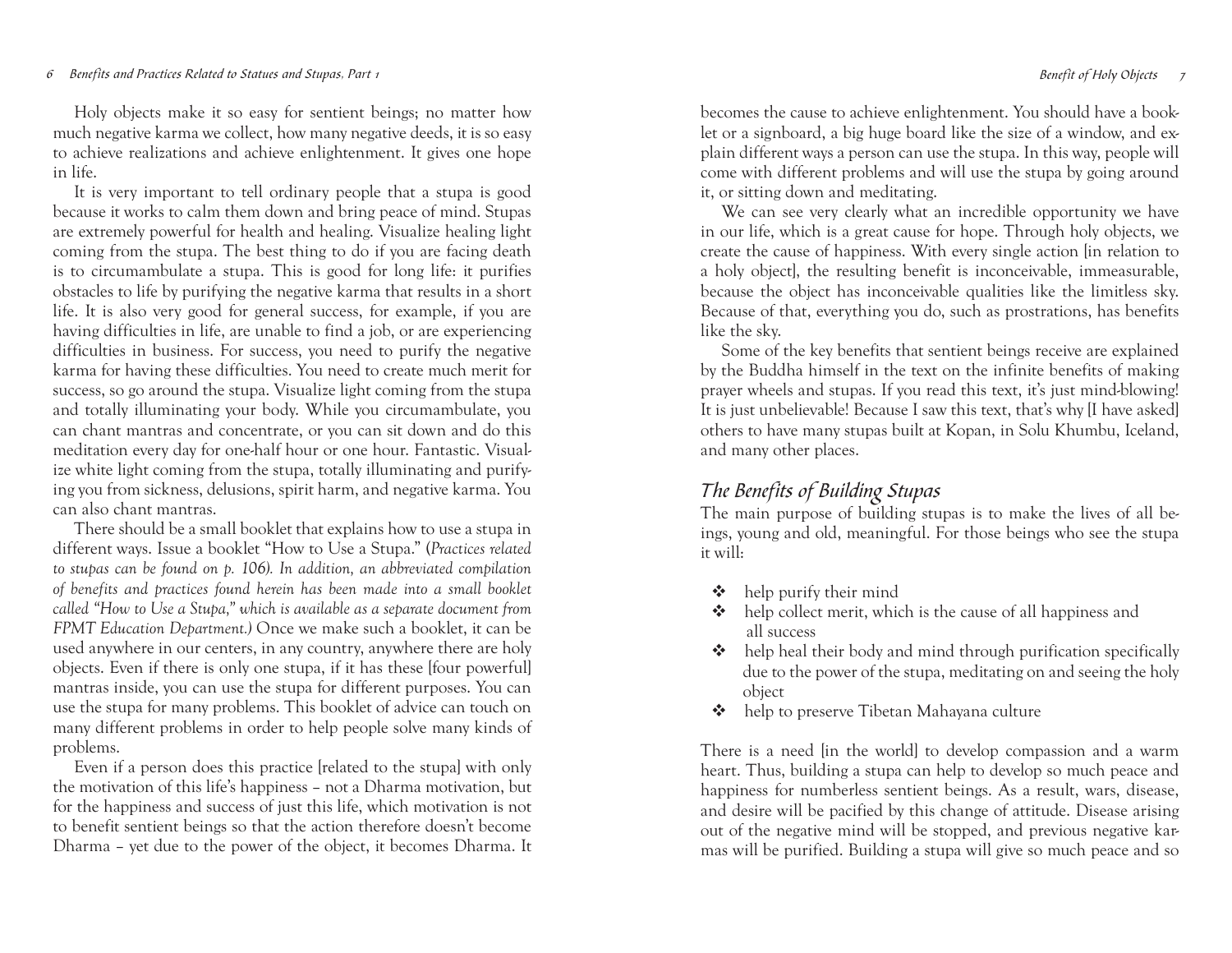# 6 Benefits and Practices Related to Statues and Stupas, Part 1 Second 1 Benefit of Holy Objects 6 Benefit of Holy Objects 7 Benefit of Holy Objects

Holy objects make it so easy for sentient beings; no matter how much negative karma we collect, how many negative deeds, it is so easy to achieve realizations and achieve enlightenment. It gives one hope in life.

It is very important to tell ordinary people that a stupa is good because it works to calm them down and bring peace of mind. Stupas are extremely powerful for health and healing. Visualize healing light coming from the stupa. The best thing to do if you are facing death is to circumambulate a stupa. This is good for long life: it purifies obstacles to life by purifying the negative karma that results in a short life. It is also very good for general success, for example, if you are having difficulties in life, are unable to find a job, or are experiencing difficulties in business. For success, you need to purify the negative karma for having these difficulties. You need to create much merit for success, so go around the stupa. Visualize light coming from the stupa and totally illuminating your body. While you circumambulate, you can chant mantras and concentrate, or you can sit down and do this meditation every day for one-half hour or one hour. Fantastic. Visualize white light coming from the stupa, totally illuminating and purifying you from sickness, delusions, spirit harm, and negative karma. You can also chant mantras.

There should be a small booklet that explains how to use a stupa in different ways. Issue a booklet "How to Use a Stupa." (*Practices related to stupas can be found on p. 106). In addition, an abbreviated compilation of benefits and practices found herein has been made into a small booklet called "How to Use a Stupa," which is available as a separate document from FPMT Education Department.)* Once we make such a booklet, it can be used anywhere in our centers, in any country, anywhere there are holy objects. Even if there is only one stupa, if it has these [four powerful] mantras inside, you can use the stupa for different purposes. You can use the stupa for many problems. This booklet of advice can touch on many different problems in order to help people solve many kinds of problems.

Even if a person does this practice [related to the stupa] with only the motivation of this life's happiness – not a Dharma motivation, but for the happiness and success of just this life, which motivation is not to benefit sentient beings so that the action therefore doesn't become Dharma – yet due to the power of the object, it becomes Dharma. It

becomes the cause to achieve enlightenment. You should have a booklet or a signboard, a big huge board like the size of a window, and ex<sup>p</sup>lain different ways a person can use the stupa. In this way, people will come with different problems and will use the stupa by going around it, or sitting down and meditating.

We can see very clearly what an incredible opportunity we have in our life, which is a great cause for hope. Through holy objects, we create the cause of happiness. With every single action [in relation to a holy object], the resulting benefit is inconceivable, immeasurable, because the object has inconceivable qualities like the limitless sky. Because of that, everything you do, such as prostrations, has benefits like the sky.

Some of the key benefits that sentient beings receive are explained by the Buddha himself in the text on the infinite benefits of making prayer wheels and stupas. If you read this text, it's just mind-blowing! It is just unbelievable! Because I saw this text, that's why [I have asked] others to have many stupas built at Kopan, in Solu Khumbu, Iceland, and many other places.

# The Benefits of Building Stupas

The main purpose of building stupas is to make the lives of all beings, young and old, meaningful. For those beings who see the stupa it will:

- $\triangleleft$  help purify their mind
- help collect merit, which is the cause of all happiness and all success
- $\triangle$  help heal their body and mind through purification specifically due to the power of the stupa, meditating on and seeing the holy object
- help to preserve Tibetan Mahayana culture

There is a need [in the world] to develop compassion and a warm heart. Thus, building a stupa can help to develop so much peace and happiness for numberless sentient beings. As a result, wars, disease, and desire will be pacified by this change of attitude. Disease arising out of the negative mind will be stopped, and previous negative karmas will be purified. Building a stupa will give so much peace and so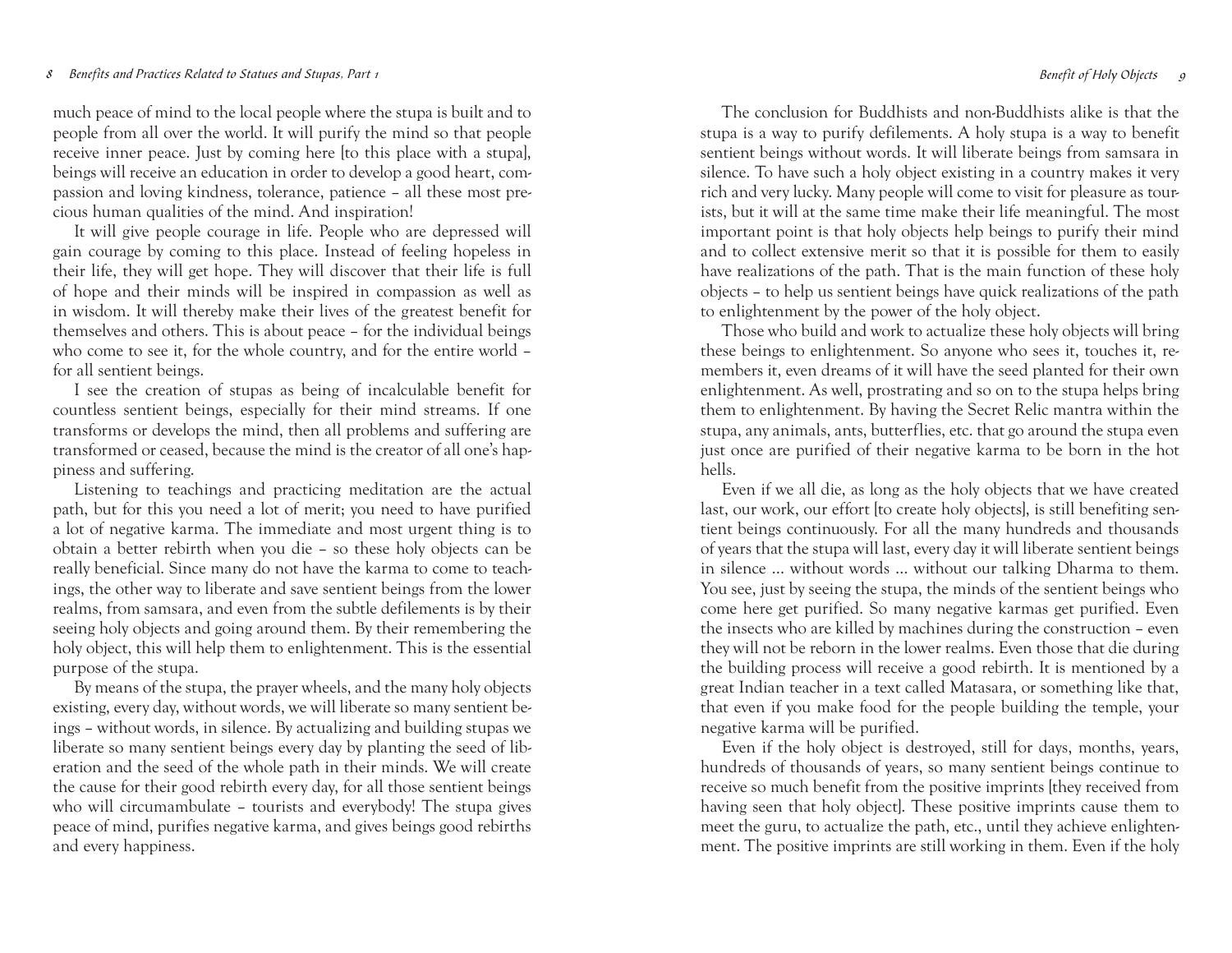# 8 Benefits and Practices Related to Statues and Stupas, Part 1 and 1988 1 Benefit of Holy Objects 9 Benefit of Holy Objects 9

much peace of mind to the local people where the stupa is built and to people from all over the world. It will purify the mind so that people receive inner peace. Just by coming here [to this place with a stupa], beings will receive an education in order to develop a good heart, compassion and loving kindness, tolerance, patience – all these most precious human qualities of the mind. And inspiration!

It will give people courage in life. People who are depressed will gain courage by coming to this place. Instead of feeling hopeless in their life, they will get hope. They will discover that their life is full of hope and their minds will be inspired in compassion as well as in wisdom. It will thereby make their lives of the greatest benefit for themselves and others. This is about peace – for the individual beings who come to see it, for the whole country, and for the entire world – for all sentient beings.

I see the creation of stupas as being of incalculable benefit for countless sentient beings, especially for their mind streams. If one transforms or develops the mind, then all problems and suffering are transformed or ceased, because the mind is the creator of all one's hap<sup>p</sup>iness and suffering.

Listening to teachings and practicing meditation are the actual path, but for this you need a lot of merit; you need to have purified a lot of negative karma. The immediate and most urgent thing is to obtain a better rebirth when you die – so these holy objects can be really beneficial. Since many do not have the karma to come to teachings, the other way to liberate and save sentient beings from the lower realms, from samsara, and even from the subtle defilements is by their seeing holy objects and going around them. By their remembering the holy object, this will help them to enlightenment. This is the essential purpose of the stupa.

By means of the stupa, the prayer wheels, and the many holy objects existing, every day, without words, we will liberate so many sentient beings – without words, in silence. By actualizing and building stupas we liberate so many sentient beings every day by planting the seed of liberation and the seed of the whole path in their minds. We will create the cause for their good rebirth every day, for all those sentient beings who will circumambulate – tourists and everybody! The stupa gives peace of mind, purifies negative karma, and gives beings good rebirths and every happiness.

The conclusion for Buddhists and non-Buddhists alike is that the stupa is a way to purify defilements. A holy stupa is a way to benefit sentient beings without words. It will liberate beings from samsara in silence. To have such a holy object existing in a country makes it very rich and very lucky. Many people will come to visit for pleasure as tourists, but it will at the same time make their life meaningful. The most important point is that holy objects help beings to purify their mind and to collect extensive merit so that it is possible for them to easily have realizations of the path. That is the main function of these holy objects – to help us sentient beings have quick realizations of the path to enlightenment by the power of the holy object.

Those who build and work to actualize these holy objects will bring these beings to enlightenment. So anyone who sees it, touches it, remembers it, even dreams of it will have the seed planted for their own enlightenment. As well, prostrating and so on to the stupa helps bring them to enlightenment. By having the Secret Relic mantra within the stupa, any animals, ants, butterflies, etc. that go around the stupa even just once are purified of their negative karma to be born in the hot hells.

Even if we all die, as long as the holy objects that we have created last, our work, our effort [to create holy objects], is still benefiting sentient beings continuously. For all the many hundreds and thousands of years that the stupa will last, every day it will liberate sentient beings in silence … without words … without our talking Dharma to them. You see, just by seeing the stupa, the minds of the sentient beings who come here get purified. So many negative karmas get purified. Even the insects who are killed by machines during the construction – even they will not be reborn in the lower realms. Even those that die during the building process will receive a good rebirth. It is mentioned by a great Indian teacher in a text called Matasara, or something like that, that even if you make food for the people building the temple, your negative karma will be purified.

Even if the holy object is destroyed, still for days, months, years, hundreds of thousands of years, so many sentient beings continue to receive so much benefit from the positive imprints [they received from having seen that holy object]. These positive imprints cause them to meet the guru, to actualize the path, etc., until they achieve enlightenment. The positive imprints are still working in them. Even if the holy